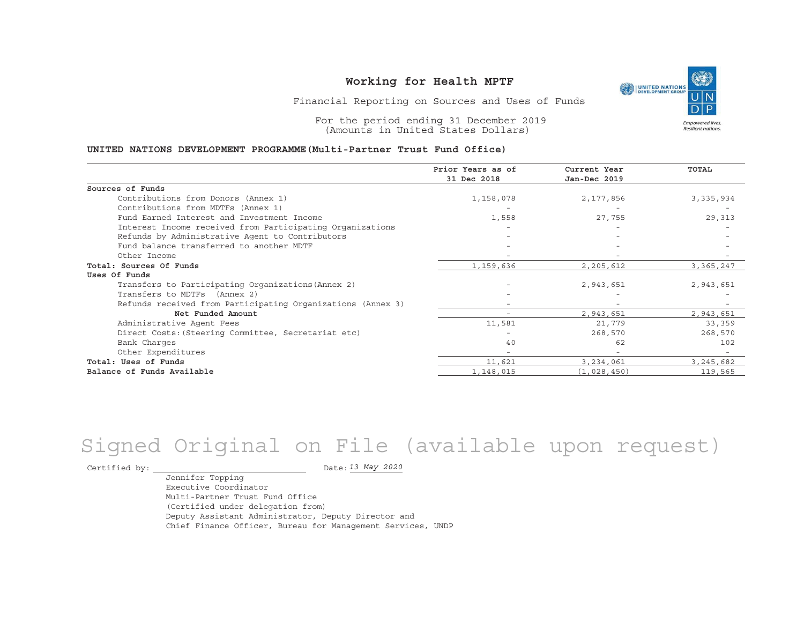

Financial Reporting on Sources and Uses of Funds

For the period ending 31 December 2019 (Amounts in United States Dollars)

#### **UNITED NATIONS DEVELOPMENT PROGRAMME(Multi-Partner Trust Fund Office)**

|                                                             | Prior Years as of<br>31 Dec 2018 | Current Year<br>Jan-Dec 2019 | <b>TOTAL</b> |
|-------------------------------------------------------------|----------------------------------|------------------------------|--------------|
| Sources of Funds                                            |                                  |                              |              |
| Contributions from Donors (Annex 1)                         | 1,158,078                        | 2,177,856                    | 3, 335, 934  |
| Contributions from MDTFs (Annex 1)                          |                                  |                              |              |
| Fund Earned Interest and Investment Income                  | 1,558                            | 27,755                       | 29,313       |
| Interest Income received from Participating Organizations   |                                  |                              |              |
| Refunds by Administrative Agent to Contributors             |                                  |                              |              |
| Fund balance transferred to another MDTF                    |                                  |                              |              |
| Other Income                                                |                                  |                              |              |
| Total: Sources Of Funds                                     | 1,159,636                        | 2,205,612                    | 3,365,247    |
| Uses Of Funds                                               |                                  |                              |              |
| Transfers to Participating Organizations (Annex 2)          |                                  | 2,943,651                    | 2,943,651    |
| Transfers to MDTFs (Annex 2)                                |                                  |                              |              |
| Refunds received from Participating Organizations (Annex 3) |                                  | $\overline{\phantom{0}}$     |              |
| Net Funded Amount                                           |                                  | 2,943,651                    | 2,943,651    |
| Administrative Agent Fees                                   | 11,581                           | 21,779                       | 33,359       |
| Direct Costs: (Steering Committee, Secretariat etc)         |                                  | 268,570                      | 268,570      |
| Bank Charges                                                | 40                               | 62                           | 102          |
| Other Expenditures                                          |                                  | $\overline{\phantom{a}}$     |              |
| Total: Uses of Funds                                        | 11,621                           | 3,234,061                    | 3, 245, 682  |
| Balance of Funds Available                                  | 1,148,015                        | (1,028,450)                  | 119,565      |

# Signed Original on File (available upon request)

Certified by:  $\overline{\phantom{a}}$ 

*13 May 2020*

Jennifer Topping Executive CoordinatorMulti-Partner Trust Fund Office(Certified under delegation from) Deputy Assistant Administrator, Deputy Director and Chief Finance Officer, Bureau for Management Services, UNDP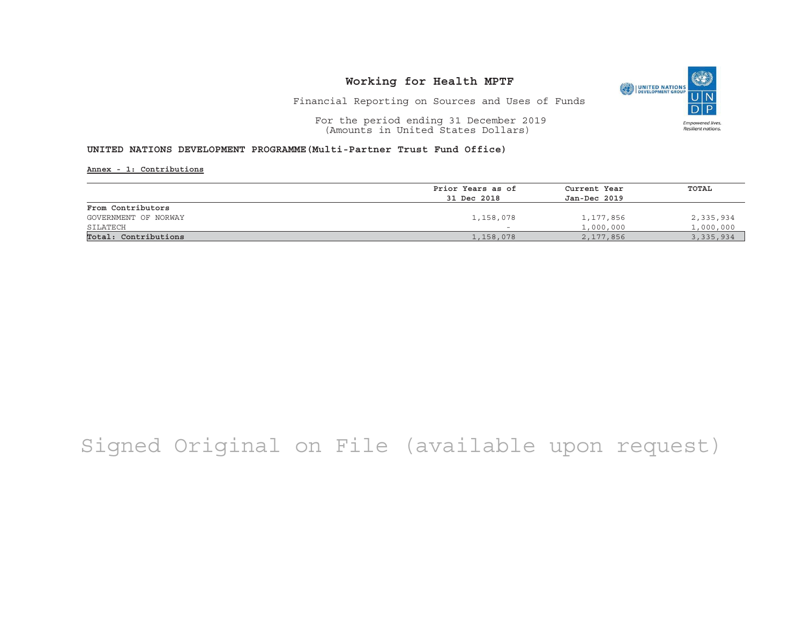

Financial Reporting on Sources and Uses of Funds

For the period ending 31 December 2019 (Amounts in United States Dollars)

#### **UNITED NATIONS DEVELOPMENT PROGRAMME(Multi-Partner Trust Fund Office)**

**Annex - 1: Contributions**

|                      | Prior Years as of | Current Year | TOTAL     |
|----------------------|-------------------|--------------|-----------|
|                      | 31 Dec 2018       | Jan-Dec 2019 |           |
| From Contributors    |                   |              |           |
| GOVERNMENT OF NORWAY | 1,158,078         | 1,177,856    | 2,335,934 |
| SILATECH             |                   | 1,000,000    | 1,000,000 |
| Total: Contributions | 1,158,078         | 2,177,856    | 3,335,934 |

## Signed Original on File (available upon request)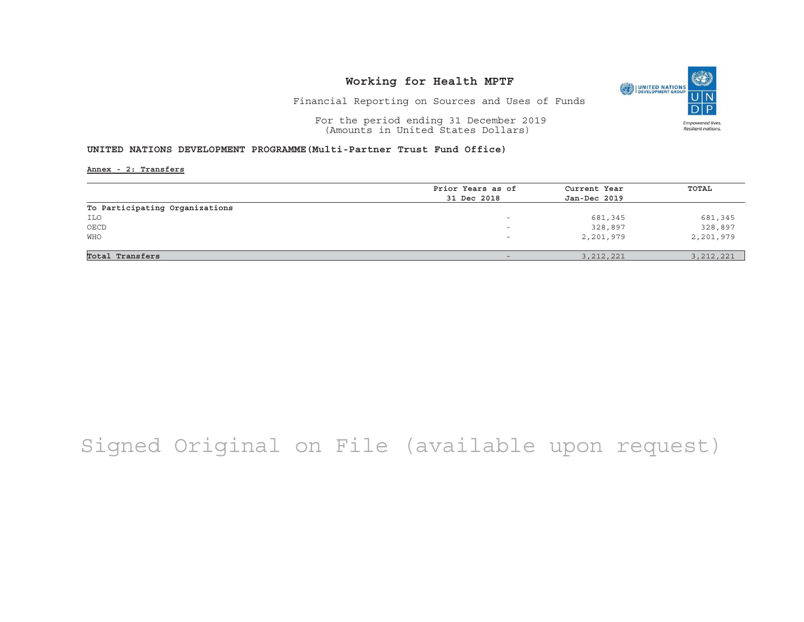

Financial Reporting on Sources and Uses of Funds

For the period ending 31 December 2019 (Amounts in United States Dollars)

#### **UNITED NATIONS DEVELOPMENT PROGRAMME(Multi-Partner Trust Fund Office)**

**Annex - 2: Transfers**

|                                | Prior Years as of        | Current Year | TOTAL       |
|--------------------------------|--------------------------|--------------|-------------|
|                                | 31 Dec 2018              | Jan-Dec 2019 |             |
| To Participating Organizations |                          |              |             |
| ILO                            | $\overline{\phantom{0}}$ | 681,345      | 681,345     |
| OECD                           | -                        | 328,897      | 328,897     |
| <b>WHO</b>                     | -                        | 2,201,979    | 2,201,979   |
|                                |                          |              |             |
| Total Transfers                | $-$                      | 3, 212, 221  | 3, 212, 221 |

## Signed Original on File (available upon request)